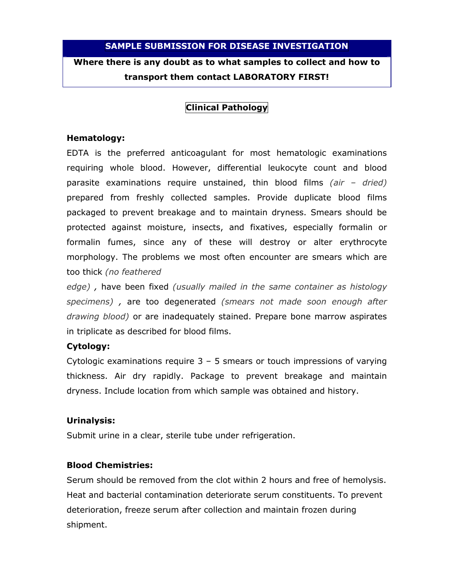#### SAMPLE SUBMISSION FOR DISEASE INVESTIGATION

Where there is any doubt as to what samples to collect and how to transport them contact LABORATORY FIRST!

## Clinical Pathology

#### Hematology:

EDTA is the preferred anticoagulant for most hematologic examinations requiring whole blood. However, differential leukocyte count and blood parasite examinations require unstained, thin blood films (air  $-$  dried) prepared from freshly collected samples. Provide duplicate blood films packaged to prevent breakage and to maintain dryness. Smears should be protected against moisture, insects, and fixatives, especially formalin or formalin fumes, since any of these will destroy or alter erythrocyte morphology. The problems we most often encounter are smears which are too thick (no feathered

edge) , have been fixed (usually mailed in the same container as histology specimens) , are too degenerated (smears not made soon enough after drawing blood) or are inadequately stained. Prepare bone marrow aspirates in triplicate as described for blood films.

### Cytology:

Cytologic examinations require  $3 - 5$  smears or touch impressions of varying thickness. Air dry rapidly. Package to prevent breakage and maintain dryness. Include location from which sample was obtained and history.

### Urinalysis:

Submit urine in a clear, sterile tube under refrigeration.

### Blood Chemistries:

Serum should be removed from the clot within 2 hours and free of hemolysis. Heat and bacterial contamination deteriorate serum constituents. To prevent deterioration, freeze serum after collection and maintain frozen during shipment.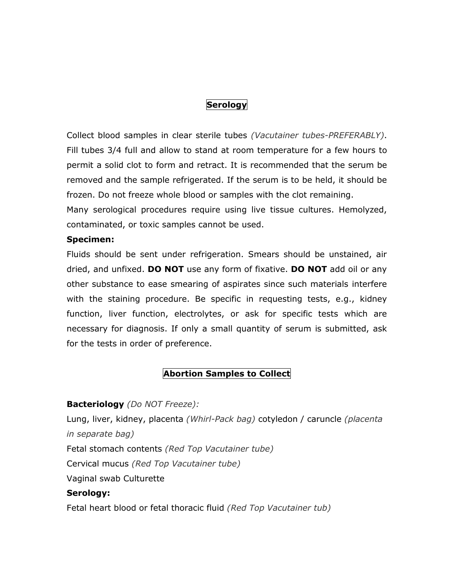## Serology

Collect blood samples in clear sterile tubes (Vacutainer tubes-PREFERABLY). Fill tubes 3/4 full and allow to stand at room temperature for a few hours to permit a solid clot to form and retract. It is recommended that the serum be removed and the sample refrigerated. If the serum is to be held, it should be frozen. Do not freeze whole blood or samples with the clot remaining. Many serological procedures require using live tissue cultures. Hemolyzed,

contaminated, or toxic samples cannot be used.

#### Specimen:

Fluids should be sent under refrigeration. Smears should be unstained, air dried, and unfixed. **DO NOT** use any form of fixative. **DO NOT** add oil or any other substance to ease smearing of aspirates since such materials interfere with the staining procedure. Be specific in requesting tests, e.g., kidney function, liver function, electrolytes, or ask for specific tests which are necessary for diagnosis. If only a small quantity of serum is submitted, ask for the tests in order of preference.

## Abortion Samples to Collect

### Bacteriology (Do NOT Freeze):

Lung, liver, kidney, placenta (Whirl-Pack bag) cotyledon / caruncle (placenta in separate bag)

Fetal stomach contents (Red Top Vacutainer tube)

Cervical mucus (Red Top Vacutainer tube)

Vaginal swab Culturette

### Serology:

Fetal heart blood or fetal thoracic fluid (Red Top Vacutainer tub)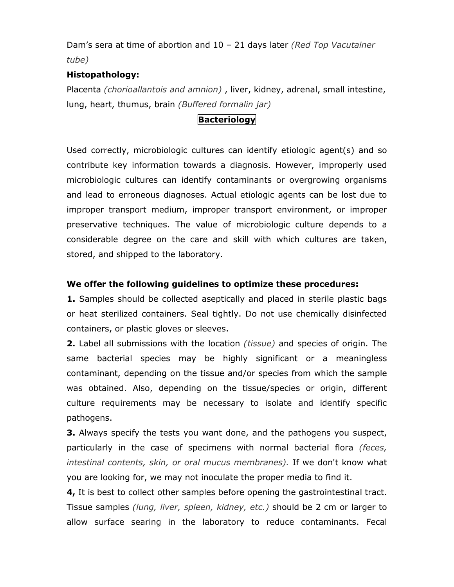Dam's sera at time of abortion and  $10 - 21$  days later (Red Top Vacutainer tube)

### Histopathology:

Placenta (chorioallantois and amnion), liver, kidney, adrenal, small intestine, lung, heart, thumus, brain (Buffered formalin jar)

## **Bacteriology**

Used correctly, microbiologic cultures can identify etiologic agent(s) and so contribute key information towards a diagnosis. However, improperly used microbiologic cultures can identify contaminants or overgrowing organisms and lead to erroneous diagnoses. Actual etiologic agents can be lost due to improper transport medium, improper transport environment, or improper preservative techniques. The value of microbiologic culture depends to a considerable degree on the care and skill with which cultures are taken, stored, and shipped to the laboratory.

### We offer the following guidelines to optimize these procedures:

1. Samples should be collected aseptically and placed in sterile plastic bags or heat sterilized containers. Seal tightly. Do not use chemically disinfected containers, or plastic gloves or sleeves.

2. Label all submissions with the location *(tissue)* and species of origin. The same bacterial species may be highly significant or a meaningless contaminant, depending on the tissue and/or species from which the sample was obtained. Also, depending on the tissue/species or origin, different culture requirements may be necessary to isolate and identify specific pathogens.

**3.** Always specify the tests you want done, and the pathogens you suspect, particularly in the case of specimens with normal bacterial flora (feces, intestinal contents, skin, or oral mucus membranes). If we don't know what you are looking for, we may not inoculate the proper media to find it.

4, It is best to collect other samples before opening the gastrointestinal tract. Tissue samples (lung, liver, spleen, kidney, etc.) should be 2 cm or larger to allow surface searing in the laboratory to reduce contaminants. Fecal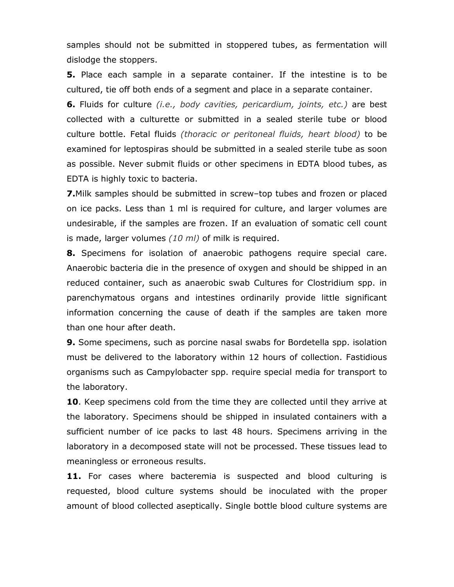samples should not be submitted in stoppered tubes, as fermentation will dislodge the stoppers.

5. Place each sample in a separate container. If the intestine is to be cultured, tie off both ends of a segment and place in a separate container.

**6.** Fluids for culture *(i.e., body cavities, pericardium, joints, etc.)* are best collected with a culturette or submitted in a sealed sterile tube or blood culture bottle. Fetal fluids (thoracic or peritoneal fluids, heart blood) to be examined for leptospiras should be submitted in a sealed sterile tube as soon as possible. Never submit fluids or other specimens in EDTA blood tubes, as EDTA is highly toxic to bacteria.

7.Milk samples should be submitted in screw–top tubes and frozen or placed on ice packs. Less than 1 ml is required for culture, and larger volumes are undesirable, if the samples are frozen. If an evaluation of somatic cell count is made, larger volumes  $(10 \text{ ml})$  of milk is required.

8. Specimens for isolation of anaerobic pathogens require special care. Anaerobic bacteria die in the presence of oxygen and should be shipped in an reduced container, such as anaerobic swab Cultures for Clostridium spp. in parenchymatous organs and intestines ordinarily provide little significant information concerning the cause of death if the samples are taken more than one hour after death.

**9.** Some specimens, such as porcine nasal swabs for Bordetella spp. isolation must be delivered to the laboratory within 12 hours of collection. Fastidious organisms such as Campylobacter spp. require special media for transport to the laboratory.

10. Keep specimens cold from the time they are collected until they arrive at the laboratory. Specimens should be shipped in insulated containers with a sufficient number of ice packs to last 48 hours. Specimens arriving in the laboratory in a decomposed state will not be processed. These tissues lead to meaningless or erroneous results.

11. For cases where bacteremia is suspected and blood culturing is requested, blood culture systems should be inoculated with the proper amount of blood collected aseptically. Single bottle blood culture systems are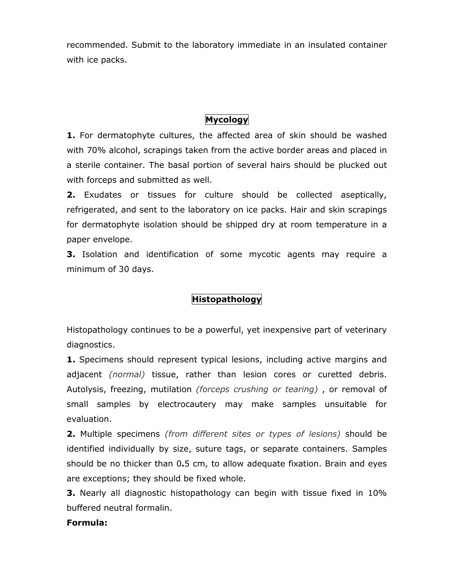recommended. Submit to the laboratory immediate in an insulated container with ice packs.

# Mycology

1. For dermatophyte cultures, the affected area of skin should be washed with 70% alcohol, scrapings taken from the active border areas and placed in a sterile container. The basal portion of several hairs should be plucked out with forceps and submitted as well.

2. Exudates or tissues for culture should be collected aseptically, refrigerated, and sent to the laboratory on ice packs. Hair and skin scrapings for dermatophyte isolation should be shipped dry at room temperature in a paper envelope.

**3.** Isolation and identification of some mycotic agents may require a minimum of 30 days.

# Histopathology

Histopathology continues to be a powerful, yet inexpensive part of veterinary diagnostics.

1. Specimens should represent typical lesions, including active margins and adjacent *(normal)* tissue, rather than lesion cores or curetted debris. Autolysis, freezing, mutilation (forceps crushing or tearing), or removal of small samples by electrocautery may make samples unsuitable for evaluation.

2. Multiple specimens (from different sites or types of lesions) should be identified individually by size, suture tags, or separate containers. Samples should be no thicker than 0.5 cm, to allow adequate fixation. Brain and eyes are exceptions; they should be fixed whole.

**3.** Nearly all diagnostic histopathology can begin with tissue fixed in 10% buffered neutral formalin.

### Formula: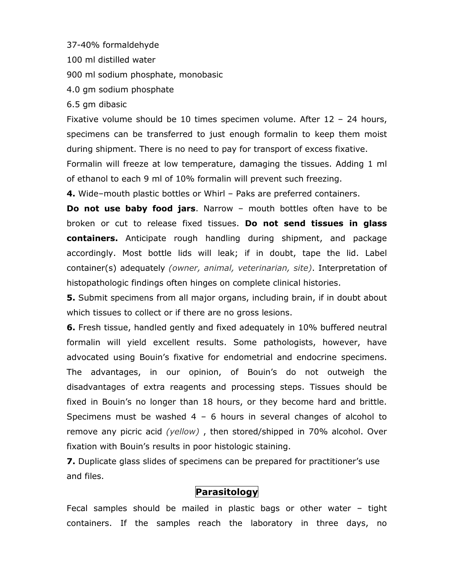37-40% formaldehyde

100 ml distilled water

900 ml sodium phosphate, monobasic

4.0 gm sodium phosphate

6.5 gm dibasic

Fixative volume should be 10 times specimen volume. After 12 – 24 hours, specimens can be transferred to just enough formalin to keep them moist during shipment. There is no need to pay for transport of excess fixative.

Formalin will freeze at low temperature, damaging the tissues. Adding 1 ml of ethanol to each 9 ml of 10% formalin will prevent such freezing.

4. Wide–mouth plastic bottles or Whirl – Paks are preferred containers.

**Do not use baby food jars.** Narrow – mouth bottles often have to be broken or cut to release fixed tissues. Do not send tissues in glass containers. Anticipate rough handling during shipment, and package accordingly. Most bottle lids will leak; if in doubt, tape the lid. Label container(s) adequately (owner, animal, veterinarian, site). Interpretation of histopathologic findings often hinges on complete clinical histories.

**5.** Submit specimens from all major organs, including brain, if in doubt about which tissues to collect or if there are no gross lesions.

6. Fresh tissue, handled gently and fixed adequately in 10% buffered neutral formalin will yield excellent results. Some pathologists, however, have advocated using Bouin's fixative for endometrial and endocrine specimens. The advantages, in our opinion, of Bouin's do not outweigh the disadvantages of extra reagents and processing steps. Tissues should be fixed in Bouin's no longer than 18 hours, or they become hard and brittle. Specimens must be washed  $4 - 6$  hours in several changes of alcohol to remove any picric acid (yellow), then stored/shipped in 70% alcohol. Over fixation with Bouin's results in poor histologic staining.

7. Duplicate glass slides of specimens can be prepared for practitioner's use and files.

# Parasitology

Fecal samples should be mailed in plastic bags or other water – tight containers. If the samples reach the laboratory in three days, no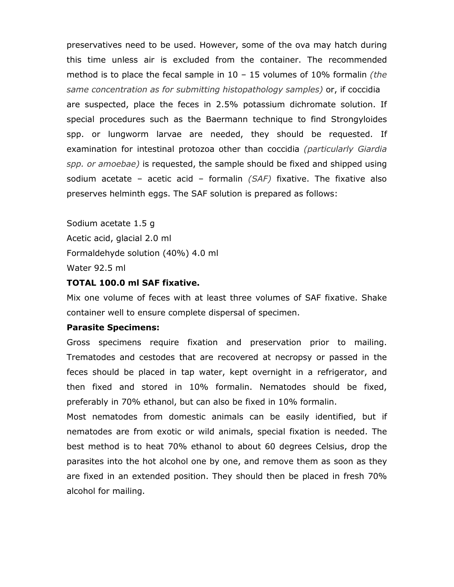preservatives need to be used. However, some of the ova may hatch during this time unless air is excluded from the container. The recommended method is to place the fecal sample in  $10 - 15$  volumes of  $10\%$  formalin *(the* same concentration as for submitting histopathology samples) or, if coccidia are suspected, place the feces in 2.5% potassium dichromate solution. If special procedures such as the Baermann technique to find Strongyloides spp. or lungworm larvae are needed, they should be requested. If examination for intestinal protozoa other than coccidia (particularly Giardia spp. or amoebae) is requested, the sample should be fixed and shipped using sodium acetate – acetic acid – formalin  $(SAF)$  fixative. The fixative also preserves helminth eggs. The SAF solution is prepared as follows:

Sodium acetate 1.5 g Acetic acid, glacial 2.0 ml Formaldehyde solution (40%) 4.0 ml Water 92.5 ml

#### TOTAL 100.0 ml SAF fixative.

Mix one volume of feces with at least three volumes of SAF fixative. Shake container well to ensure complete dispersal of specimen.

#### Parasite Specimens:

Gross specimens require fixation and preservation prior to mailing. Trematodes and cestodes that are recovered at necropsy or passed in the feces should be placed in tap water, kept overnight in a refrigerator, and then fixed and stored in 10% formalin. Nematodes should be fixed, preferably in 70% ethanol, but can also be fixed in 10% formalin.

Most nematodes from domestic animals can be easily identified, but if nematodes are from exotic or wild animals, special fixation is needed. The best method is to heat 70% ethanol to about 60 degrees Celsius, drop the parasites into the hot alcohol one by one, and remove them as soon as they are fixed in an extended position. They should then be placed in fresh 70% alcohol for mailing.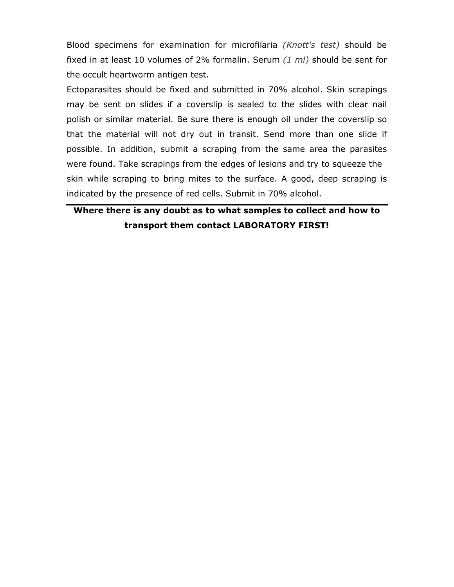Blood specimens for examination for microfilaria (Knott's test) should be fixed in at least 10 volumes of 2% formalin. Serum  $(1 \text{ ml})$  should be sent for the occult heartworm antigen test.

Ectoparasites should be fixed and submitted in 70% alcohol. Skin scrapings may be sent on slides if a coverslip is sealed to the slides with clear nail polish or similar material. Be sure there is enough oil under the coverslip so that the material will not dry out in transit. Send more than one slide if possible. In addition, submit a scraping from the same area the parasites were found. Take scrapings from the edges of lesions and try to squeeze the skin while scraping to bring mites to the surface. A good, deep scraping is indicated by the presence of red cells. Submit in 70% alcohol.

# Where there is any doubt as to what samples to collect and how to transport them contact LABORATORY FIRST!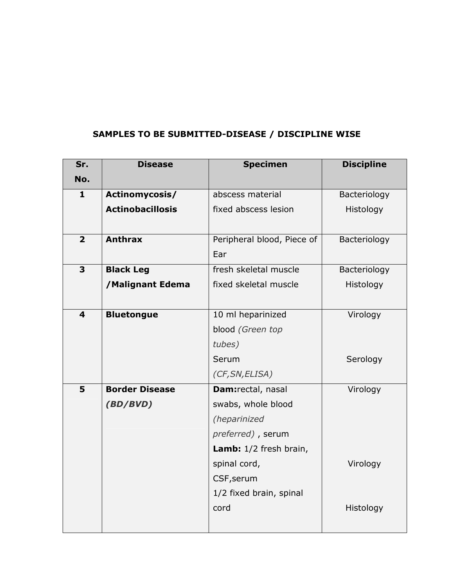# SAMPLES TO BE SUBMITTED-DISEASE / DISCIPLINE WISE

| Sr.                     | <b>Disease</b>          | <b>Specimen</b>            | <b>Discipline</b> |
|-------------------------|-------------------------|----------------------------|-------------------|
| No.                     |                         |                            |                   |
| $\mathbf{1}$            | Actinomycosis/          | abscess material           | Bacteriology      |
|                         | <b>Actinobacillosis</b> | fixed abscess lesion       | Histology         |
|                         |                         |                            |                   |
| $\overline{2}$          | <b>Anthrax</b>          | Peripheral blood, Piece of | Bacteriology      |
|                         |                         | Ear                        |                   |
| 3                       | <b>Black Leg</b>        | fresh skeletal muscle      | Bacteriology      |
|                         | /Malignant Edema        | fixed skeletal muscle      | Histology         |
|                         |                         |                            |                   |
| $\overline{\mathbf{4}}$ | <b>Bluetongue</b>       | 10 ml heparinized          | Virology          |
|                         |                         | blood (Green top           |                   |
|                         |                         | tubes)                     |                   |
|                         |                         | Serum                      | Serology          |
|                         |                         | (CF, SN, ELISA)            |                   |
| 5                       | <b>Border Disease</b>   | Dam:rectal, nasal          | Virology          |
|                         | (BD/BVD)                | swabs, whole blood         |                   |
|                         |                         | (heparinized               |                   |
|                         |                         | preferred), serum          |                   |
|                         |                         | Lamb: 1/2 fresh brain,     |                   |
|                         |                         | spinal cord,               | Virology          |
|                         |                         | CSF, serum                 |                   |
|                         |                         | 1/2 fixed brain, spinal    |                   |
|                         |                         | cord                       | Histology         |
|                         |                         |                            |                   |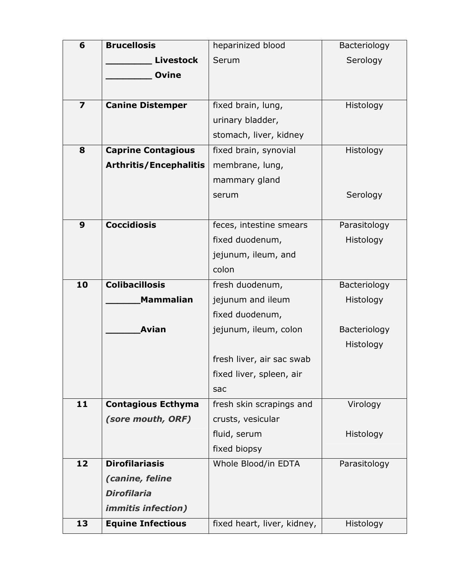| 6                       | <b>Brucellosis</b>            | heparinized blood           | Bacteriology |
|-------------------------|-------------------------------|-----------------------------|--------------|
|                         | <b>Livestock</b>              | Serum                       | Serology     |
|                         | <b>Ovine</b>                  |                             |              |
|                         |                               |                             |              |
|                         |                               |                             |              |
| $\overline{\mathbf{z}}$ | <b>Canine Distemper</b>       | fixed brain, lung,          | Histology    |
|                         |                               | urinary bladder,            |              |
|                         |                               | stomach, liver, kidney      |              |
| 8                       | <b>Caprine Contagious</b>     | fixed brain, synovial       | Histology    |
|                         | <b>Arthritis/Encephalitis</b> | membrane, lung,             |              |
|                         |                               | mammary gland               |              |
|                         |                               | serum                       | Serology     |
|                         |                               |                             |              |
| 9                       | <b>Coccidiosis</b>            | feces, intestine smears     | Parasitology |
|                         |                               | fixed duodenum,             | Histology    |
|                         |                               | jejunum, ileum, and         |              |
|                         |                               | colon                       |              |
| 10                      | <b>Colibacillosis</b>         | fresh duodenum,             | Bacteriology |
|                         | <b>Mammalian</b>              | jejunum and ileum           | Histology    |
|                         |                               | fixed duodenum,             |              |
|                         | <b>Avian</b>                  | jejunum, ileum, colon       | Bacteriology |
|                         |                               |                             | Histology    |
|                         |                               | fresh liver, air sac swab   |              |
|                         |                               | fixed liver, spleen, air    |              |
|                         |                               | sac                         |              |
| 11                      | <b>Contagious Ecthyma</b>     | fresh skin scrapings and    | Virology     |
|                         | (sore mouth, ORF)             | crusts, vesicular           |              |
|                         |                               | fluid, serum                | Histology    |
|                         |                               | fixed biopsy                |              |
| 12                      | <b>Dirofilariasis</b>         | Whole Blood/in EDTA         | Parasitology |
|                         | (canine, feline               |                             |              |
|                         | <b>Dirofilaria</b>            |                             |              |
|                         |                               |                             |              |
|                         | <i>immitis infection)</i>     |                             |              |
| 13                      | <b>Equine Infectious</b>      | fixed heart, liver, kidney, | Histology    |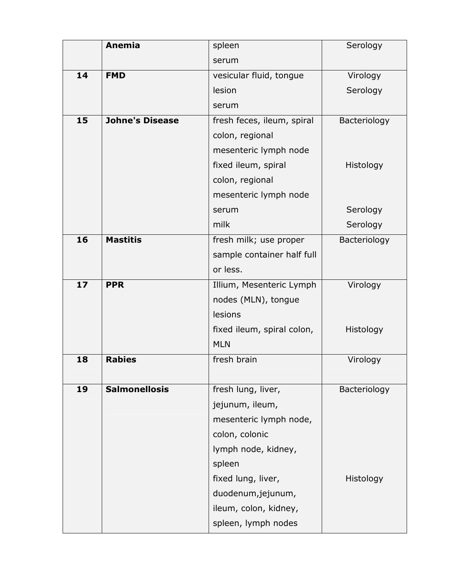|    | <b>Anemia</b>          | spleen                     | Serology     |
|----|------------------------|----------------------------|--------------|
|    |                        | serum                      |              |
| 14 | <b>FMD</b>             | vesicular fluid, tongue    | Virology     |
|    |                        | lesion                     | Serology     |
|    |                        | serum                      |              |
| 15 | <b>Johne's Disease</b> | fresh feces, ileum, spiral | Bacteriology |
|    |                        | colon, regional            |              |
|    |                        | mesenteric lymph node      |              |
|    |                        | fixed ileum, spiral        | Histology    |
|    |                        | colon, regional            |              |
|    |                        | mesenteric lymph node      |              |
|    |                        | serum                      | Serology     |
|    |                        | milk                       | Serology     |
| 16 | <b>Mastitis</b>        | fresh milk; use proper     | Bacteriology |
|    |                        | sample container half full |              |
|    |                        | or less.                   |              |
| 17 | <b>PPR</b>             | Illium, Mesenteric Lymph   | Virology     |
|    |                        | nodes (MLN), tongue        |              |
|    |                        | lesions                    |              |
|    |                        | fixed ileum, spiral colon, | Histology    |
|    |                        | <b>MLN</b>                 |              |
| 18 | <b>Rabies</b>          | fresh brain                | Virology     |
|    |                        |                            |              |
| 19 | <b>Salmonellosis</b>   | fresh lung, liver,         | Bacteriology |
|    |                        | jejunum, ileum,            |              |
|    |                        | mesenteric lymph node,     |              |
|    |                        | colon, colonic             |              |
|    |                        | lymph node, kidney,        |              |
|    |                        | spleen                     |              |
|    |                        | fixed lung, liver,         | Histology    |
|    |                        | duodenum, jejunum,         |              |
|    |                        | ileum, colon, kidney,      |              |
|    |                        | spleen, lymph nodes        |              |